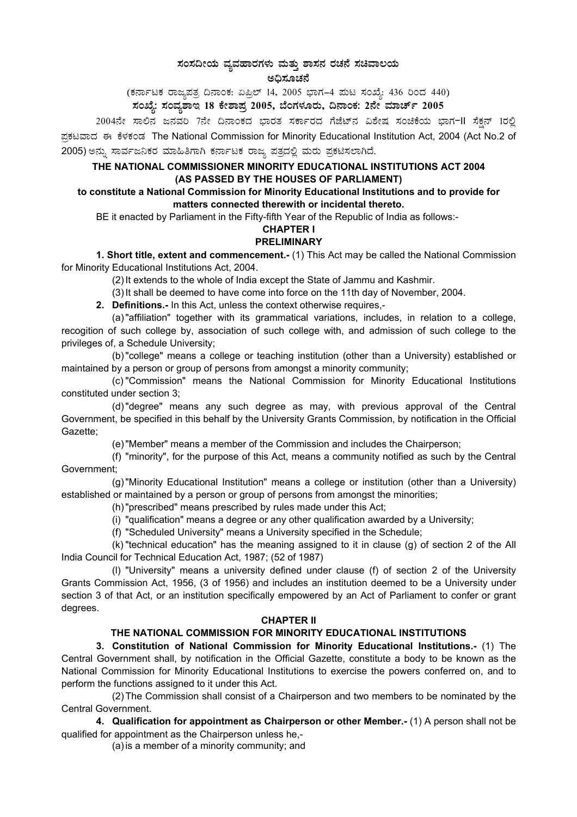# **¸ÀA¸À¢ÃAiÀÄ ªÀåªÀºÁgÀUÀ¼ÀÄ ªÀÄvÀÄÛ ±Á¸À£À gÀZÀ£É ¸ÀaªÁ®AiÀÄ**  ಅಧಿಸೂಚನೆ

(ಕರ್ನಾಟಕ ರಾಜ್ಯಪತ್ರ ದಿನಾಂಕ: ಏಪ್ರಿಲ್ 14, 2005 ಭಾಗ–4 ಮಟ ಸಂಖ್ಯೆ: 436 ರಿಂದ 440)

# ಸಂಖ್ಯೆ: ಸಂವ್ಯಶಾಇ 18 ಕೇಶಾಪ್ರ 2005, ಬೆಂಗಳೂರು, ದಿನಾಂಕ: 2ನೇ ಮಾರ್ಚ್ 2005

2004ನೇ ಸಾಲಿನ ಜನವರಿ 7ನೇ ದಿನಾಂಕದ ಭಾರತ ಸರ್ಕಾರದ ಗೆಜೆಟ್ನ ವಿಶೇಷ ಸಂಚಿಕೆಯ ಭಾಗ-II ಸೆಕ್ಷನ್ 1ರಲ್ಲಿ ಪ್ರಕಟವಾದ ಈ ಕೆಳಕಂಡ The National Commission for Minority Educational Institution Act, 2004 (Act No.2 of 2005) ಅನ್ನು ಸಾರ್ವಜನಿಕರ ಮಾಹಿತಿಗಾಗಿ ಕರ್ನಾಟಕ ರಾಜ್ಯ ಪತ್ರದಲ್ಲಿ ಮರು ಪ್ರಕಟಿಸಲಾಗಿದೆ.

## **THE NATIONAL COMMISSIONER MINORITY EDUCATIONAL INSTITUTIONS ACT 2004 (AS PASSED BY THE HOUSES OF PARLIAMENT)**

#### **to constitute a National Commission for Minority Educational Institutions and to provide for matters connected therewith or incidental thereto.**

BE it enacted by Parliament in the Fifty-fifth Year of the Republic of India as follows:-

## **CHAPTER I**

### **PRELIMINARY**

**1. Short title, extent and commencement.-** (1) This Act may be called the National Commission for Minority Educational Institutions Act, 2004.

(2) It extends to the whole of India except the State of Jammu and Kashmir.

(3) It shall be deemed to have come into force on the 11th day of November, 2004.

**2. Definitions.-** In this Act, unless the context otherwise requires,-

(a) "affiliation" together with its grammatical variations, includes, in relation to a college, recogition of such college by, association of such college with, and admission of such college to the privileges of, a Schedule University;

(b) "college" means a college or teaching institution (other than a University) established or maintained by a person or group of persons from amongst a minority community;

(c) "Commission" means the National Commission for Minority Educational Institutions constituted under section 3;

(d) "degree" means any such degree as may, with previous approval of the Central Government, be specified in this behalf by the University Grants Commission, by notification in the Official Gazette;

(e) "Member" means a member of the Commission and includes the Chairperson;

(f) "minority", for the purpose of this Act, means a community notified as such by the Central Government;

(g) "Minority Educational Institution" means a college or institution (other than a University) established or maintained by a person or group of persons from amongst the minorities;

(h) "prescribed" means prescribed by rules made under this Act;

(i) "qualification" means a degree or any other qualification awarded by a University;

(f) "Scheduled University" means a University specified in the Schedule;

(k) "technical education" has the meaning assigned to it in clause (g) of section 2 of the All India Council for Technical Education Act, 1987; (52 of 1987)

(l) "University" means a university defined under clause (f) of section 2 of the University Grants Commission Act, 1956, (3 of 1956) and includes an institution deemed to be a University under section 3 of that Act, or an institution specifically empowered by an Act of Parliament to confer or grant degrees.

#### **CHAPTER II**

## **THE NATIONAL COMMISSION FOR MINORITY EDUCATIONAL INSTITUTIONS**

**3. Constitution of National Commission for Minority Educational Institutions.-** (1) The Central Government shall, by notification in the Official Gazette, constitute a body to be known as the National Commission for Minority Educational Institutions to exercise the powers conferred on, and to perform the functions assigned to it under this Act.

(2) The Commission shall consist of a Chairperson and two members to be nominated by the Central Government.

**4. Qualification for appointment as Chairperson or other Member.-** (1) A person shall not be qualified for appointment as the Chairperson unless he,-

(a) is a member of a minority community; and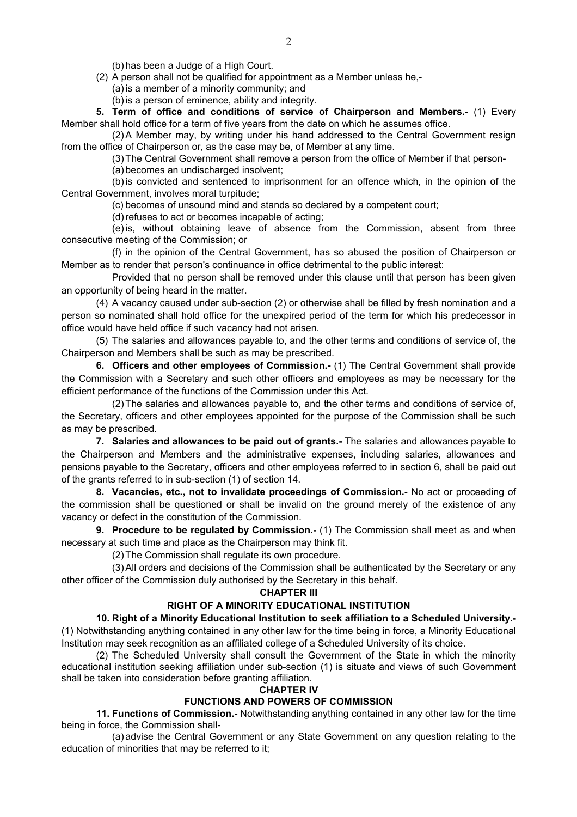(b) has been a Judge of a High Court.

(2) A person shall not be qualified for appointment as a Member unless he,-

(a) is a member of a minority community; and

(b) is a person of eminence, ability and integrity.

**5. Term of office and conditions of service of Chairperson and Members.-** (1) Every Member shall hold office for a term of five years from the date on which he assumes office.

(2) A Member may, by writing under his hand addressed to the Central Government resign from the office of Chairperson or, as the case may be, of Member at any time.

(3) The Central Government shall remove a person from the office of Member if that person-

(a) becomes an undischarged insolvent;

(b) is convicted and sentenced to imprisonment for an offence which, in the opinion of the Central Government, involves moral turpitude;

(c) becomes of unsound mind and stands so declared by a competent court;

(d) refuses to act or becomes incapable of acting;

(e) is, without obtaining leave of absence from the Commission, absent from three consecutive meeting of the Commission; or

(f) in the opinion of the Central Government, has so abused the position of Chairperson or Member as to render that person's continuance in office detrimental to the public interest:

Provided that no person shall be removed under this clause until that person has been given an opportunity of being heard in the matter.

(4) A vacancy caused under sub-section (2) or otherwise shall be filled by fresh nomination and a person so nominated shall hold office for the unexpired period of the term for which his predecessor in office would have held office if such vacancy had not arisen.

(5) The salaries and allowances payable to, and the other terms and conditions of service of, the Chairperson and Members shall be such as may be prescribed.

**6. Officers and other employees of Commission.-** (1) The Central Government shall provide the Commission with a Secretary and such other officers and employees as may be necessary for the efficient performance of the functions of the Commission under this Act.

(2) The salaries and allowances payable to, and the other terms and conditions of service of, the Secretary, officers and other employees appointed for the purpose of the Commission shall be such as may be prescribed.

**7. Salaries and allowances to be paid out of grants.-** The salaries and allowances payable to the Chairperson and Members and the administrative expenses, including salaries, allowances and pensions payable to the Secretary, officers and other employees referred to in section 6, shall be paid out of the grants referred to in sub-section (1) of section 14.

**8. Vacancies, etc., not to invalidate proceedings of Commission.-** No act or proceeding of the commission shall be questioned or shall be invalid on the ground merely of the existence of any vacancy or defect in the constitution of the Commission.

**9. Procedure to be regulated by Commission.-** (1) The Commission shall meet as and when necessary at such time and place as the Chairperson may think fit.

(2) The Commission shall regulate its own procedure.

(3) All orders and decisions of the Commission shall be authenticated by the Secretary or any other officer of the Commission duly authorised by the Secretary in this behalf.

### **CHAPTER III**

### **RIGHT OF A MINORITY EDUCATIONAL INSTITUTION**

### **10. Right of a Minority Educational Institution to seek affiliation to a Scheduled University.-**

(1) Notwithstanding anything contained in any other law for the time being in force, a Minority Educational Institution may seek recognition as an affiliated college of a Scheduled University of its choice.

(2) The Scheduled University shall consult the Government of the State in which the minority educational institution seeking affiliation under sub-section (1) is situate and views of such Government shall be taken into consideration before granting affiliation.

#### **CHAPTER IV**

## **FUNCTIONS AND POWERS OF COMMISSION**

**11. Functions of Commission.-** Notwithstanding anything contained in any other law for the time being in force, the Commission shall-

(a) advise the Central Government or any State Government on any question relating to the education of minorities that may be referred to it;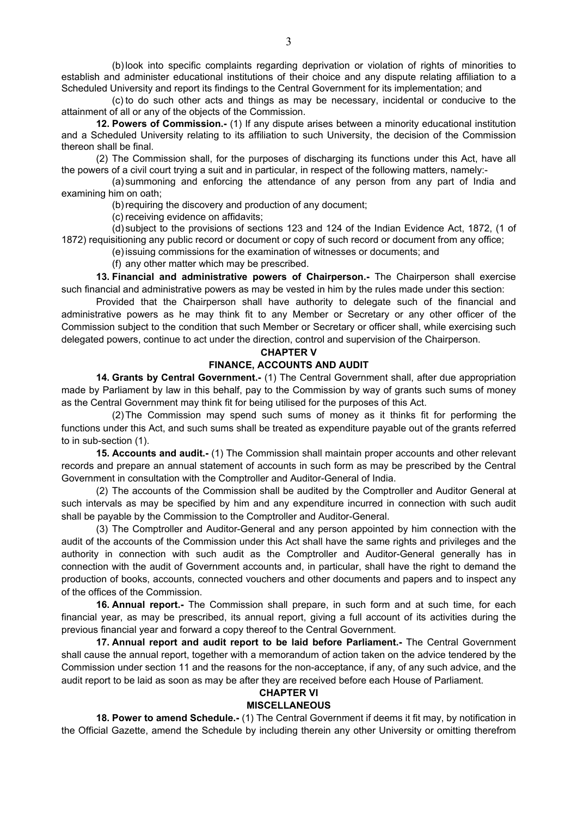(b) look into specific complaints regarding deprivation or violation of rights of minorities to establish and administer educational institutions of their choice and any dispute relating affiliation to a Scheduled University and report its findings to the Central Government for its implementation; and

(c) to do such other acts and things as may be necessary, incidental or conducive to the attainment of all or any of the objects of the Commission.

**12. Powers of Commission.-** (1) If any dispute arises between a minority educational institution and a Scheduled University relating to its affiliation to such University, the decision of the Commission thereon shall be final.

(2) The Commission shall, for the purposes of discharging its functions under this Act, have all the powers of a civil court trying a suit and in particular, in respect of the following matters, namely:-

(a) summoning and enforcing the attendance of any person from any part of India and examining him on oath;

(b) requiring the discovery and production of any document;

(c) receiving evidence on affidavits;

(d) subject to the provisions of sections 123 and 124 of the Indian Evidence Act, 1872, (1 of 1872) requisitioning any public record or document or copy of such record or document from any office;

(e) issuing commissions for the examination of witnesses or documents; and

(f) any other matter which may be prescribed.

**13. Financial and administrative powers of Chairperson.-** The Chairperson shall exercise such financial and administrative powers as may be vested in him by the rules made under this section:

Provided that the Chairperson shall have authority to delegate such of the financial and administrative powers as he may think fit to any Member or Secretary or any other officer of the Commission subject to the condition that such Member or Secretary or officer shall, while exercising such delegated powers, continue to act under the direction, control and supervision of the Chairperson.

#### **CHAPTER V**

### **FINANCE, ACCOUNTS AND AUDIT**

**14. Grants by Central Government.-** (1) The Central Government shall, after due appropriation made by Parliament by law in this behalf, pay to the Commission by way of grants such sums of money as the Central Government may think fit for being utilised for the purposes of this Act.

(2) The Commission may spend such sums of money as it thinks fit for performing the functions under this Act, and such sums shall be treated as expenditure payable out of the grants referred to in sub-section (1).

**15. Accounts and audit.-** (1) The Commission shall maintain proper accounts and other relevant records and prepare an annual statement of accounts in such form as may be prescribed by the Central Government in consultation with the Comptroller and Auditor-General of India.

(2) The accounts of the Commission shall be audited by the Comptroller and Auditor General at such intervals as may be specified by him and any expenditure incurred in connection with such audit shall be payable by the Commission to the Comptroller and Auditor-General.

(3) The Comptroller and Auditor-General and any person appointed by him connection with the audit of the accounts of the Commission under this Act shall have the same rights and privileges and the authority in connection with such audit as the Comptroller and Auditor-General generally has in connection with the audit of Government accounts and, in particular, shall have the right to demand the production of books, accounts, connected vouchers and other documents and papers and to inspect any of the offices of the Commission.

**16. Annual report.-** The Commission shall prepare, in such form and at such time, for each financial year, as may be prescribed, its annual report, giving a full account of its activities during the previous financial year and forward a copy thereof to the Central Government.

**17. Annual report and audit report to be laid before Parliament.-** The Central Government shall cause the annual report, together with a memorandum of action taken on the advice tendered by the Commission under section 11 and the reasons for the non-acceptance, if any, of any such advice, and the audit report to be laid as soon as may be after they are received before each House of Parliament.

# **CHAPTER VI**

# **MISCELLANEOUS**

**18. Power to amend Schedule.-** (1) The Central Government if deems it fit may, by notification in the Official Gazette, amend the Schedule by including therein any other University or omitting therefrom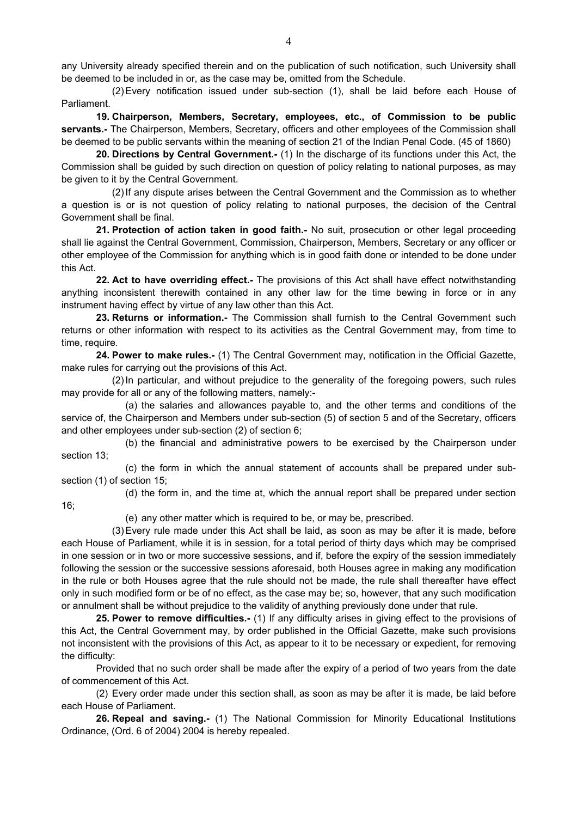any University already specified therein and on the publication of such notification, such University shall be deemed to be included in or, as the case may be, omitted from the Schedule.

(2) Every notification issued under sub-section (1), shall be laid before each House of Parliament.

**19. Chairperson, Members, Secretary, employees, etc., of Commission to be public servants.-** The Chairperson, Members, Secretary, officers and other employees of the Commission shall be deemed to be public servants within the meaning of section 21 of the Indian Penal Code. (45 of 1860)

**20. Directions by Central Government.-** (1) In the discharge of its functions under this Act, the Commission shall be guided by such direction on question of policy relating to national purposes, as may be given to it by the Central Government.

(2) If any dispute arises between the Central Government and the Commission as to whether a question is or is not question of policy relating to national purposes, the decision of the Central Government shall be final.

**21. Protection of action taken in good faith.-** No suit, prosecution or other legal proceeding shall lie against the Central Government, Commission, Chairperson, Members, Secretary or any officer or other employee of the Commission for anything which is in good faith done or intended to be done under this Act.

**22. Act to have overriding effect.-** The provisions of this Act shall have effect notwithstanding anything inconsistent therewith contained in any other law for the time bewing in force or in any instrument having effect by virtue of any law other than this Act.

**23. Returns or information.-** The Commission shall furnish to the Central Government such returns or other information with respect to its activities as the Central Government may, from time to time, require.

**24. Power to make rules.-** (1) The Central Government may, notification in the Official Gazette, make rules for carrying out the provisions of this Act.

(2) In particular, and without prejudice to the generality of the foregoing powers, such rules may provide for all or any of the following matters, namely:-

(a) the salaries and allowances payable to, and the other terms and conditions of the service of, the Chairperson and Members under sub-section (5) of section 5 and of the Secretary, officers and other employees under sub-section (2) of section 6;

(b) the financial and administrative powers to be exercised by the Chairperson under section 13;

(c) the form in which the annual statement of accounts shall be prepared under subsection (1) of section 15;

16;

(d) the form in, and the time at, which the annual report shall be prepared under section

(e) any other matter which is required to be, or may be, prescribed.

(3) Every rule made under this Act shall be laid, as soon as may be after it is made, before each House of Parliament, while it is in session, for a total period of thirty days which may be comprised in one session or in two or more successive sessions, and if, before the expiry of the session immediately following the session or the successive sessions aforesaid, both Houses agree in making any modification in the rule or both Houses agree that the rule should not be made, the rule shall thereafter have effect only in such modified form or be of no effect, as the case may be; so, however, that any such modification or annulment shall be without prejudice to the validity of anything previously done under that rule.

**25. Power to remove difficulties.-** (1) If any difficulty arises in giving effect to the provisions of this Act, the Central Government may, by order published in the Official Gazette, make such provisions not inconsistent with the provisions of this Act, as appear to it to be necessary or expedient, for removing the difficulty:

Provided that no such order shall be made after the expiry of a period of two years from the date of commencement of this Act.

(2) Every order made under this section shall, as soon as may be after it is made, be laid before each House of Parliament.

**26. Repeal and saving.-** (1) The National Commission for Minority Educational Institutions Ordinance, (Ord. 6 of 2004) 2004 is hereby repealed.